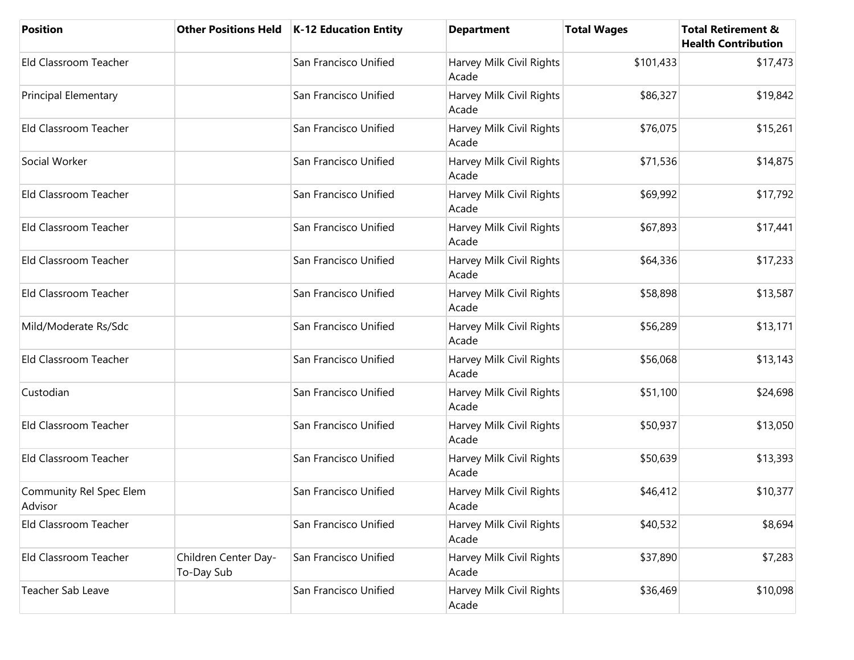| Position                           |                                    | Other Positions Held   K-12 Education Entity | <b>Department</b>                 | <b>Total Wages</b> | <b>Total Retirement &amp;</b><br><b>Health Contribution</b> |
|------------------------------------|------------------------------------|----------------------------------------------|-----------------------------------|--------------------|-------------------------------------------------------------|
| Eld Classroom Teacher              |                                    | San Francisco Unified                        | Harvey Milk Civil Rights<br>Acade | \$101,433          | \$17,473                                                    |
| <b>Principal Elementary</b>        |                                    | San Francisco Unified                        | Harvey Milk Civil Rights<br>Acade | \$86,327           | \$19,842                                                    |
| Eld Classroom Teacher              |                                    | San Francisco Unified                        | Harvey Milk Civil Rights<br>Acade | \$76,075           | \$15,261                                                    |
| Social Worker                      |                                    | San Francisco Unified                        | Harvey Milk Civil Rights<br>Acade | \$71,536           | \$14,875                                                    |
| Eld Classroom Teacher              |                                    | San Francisco Unified                        | Harvey Milk Civil Rights<br>Acade | \$69,992           | \$17,792                                                    |
| Eld Classroom Teacher              |                                    | San Francisco Unified                        | Harvey Milk Civil Rights<br>Acade | \$67,893           | \$17,441                                                    |
| Eld Classroom Teacher              |                                    | San Francisco Unified                        | Harvey Milk Civil Rights<br>Acade | \$64,336           | \$17,233                                                    |
| <b>Eld Classroom Teacher</b>       |                                    | San Francisco Unified                        | Harvey Milk Civil Rights<br>Acade | \$58,898           | \$13,587                                                    |
| Mild/Moderate Rs/Sdc               |                                    | San Francisco Unified                        | Harvey Milk Civil Rights<br>Acade | \$56,289           | \$13,171                                                    |
| Eld Classroom Teacher              |                                    | San Francisco Unified                        | Harvey Milk Civil Rights<br>Acade | \$56,068           | \$13,143                                                    |
| Custodian                          |                                    | San Francisco Unified                        | Harvey Milk Civil Rights<br>Acade | \$51,100           | \$24,698                                                    |
| Eld Classroom Teacher              |                                    | San Francisco Unified                        | Harvey Milk Civil Rights<br>Acade | \$50,937           | \$13,050                                                    |
| Eld Classroom Teacher              |                                    | San Francisco Unified                        | Harvey Milk Civil Rights<br>Acade | \$50,639           | \$13,393                                                    |
| Community Rel Spec Elem<br>Advisor |                                    | San Francisco Unified                        | Harvey Milk Civil Rights<br>Acade | \$46,412           | \$10,377                                                    |
| Eld Classroom Teacher              |                                    | San Francisco Unified                        | Harvey Milk Civil Rights<br>Acade | \$40,532           | \$8,694                                                     |
| Eld Classroom Teacher              | Children Center Day-<br>To-Day Sub | San Francisco Unified                        | Harvey Milk Civil Rights<br>Acade | \$37,890           | \$7,283                                                     |
| Teacher Sab Leave                  |                                    | San Francisco Unified                        | Harvey Milk Civil Rights<br>Acade | \$36,469           | \$10,098                                                    |